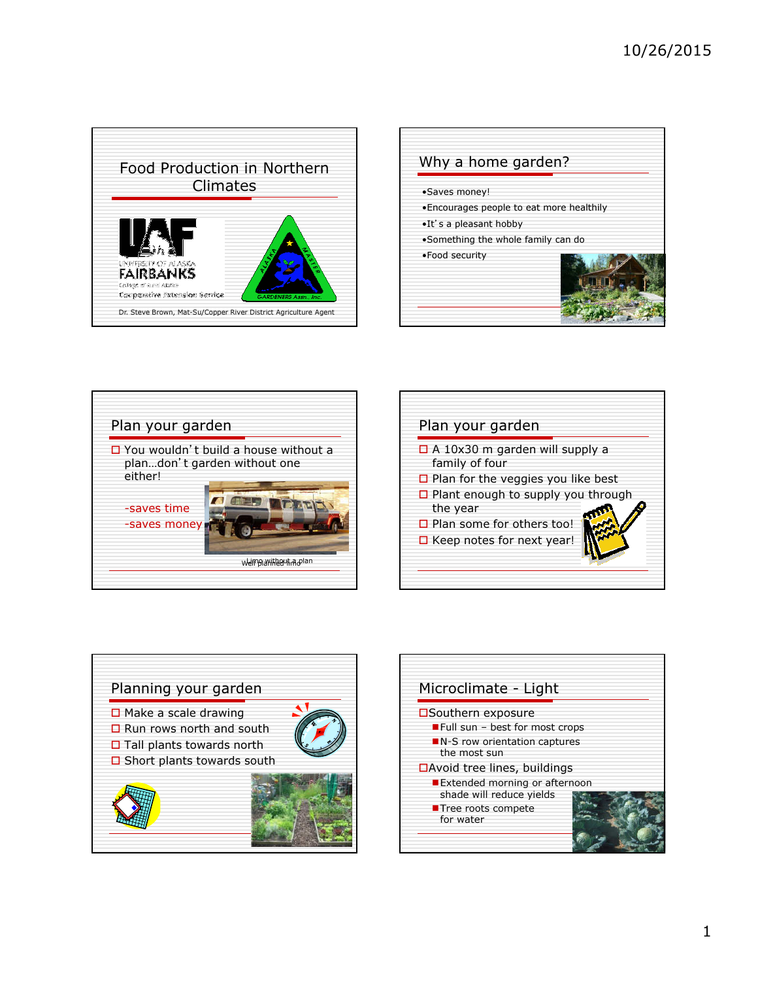









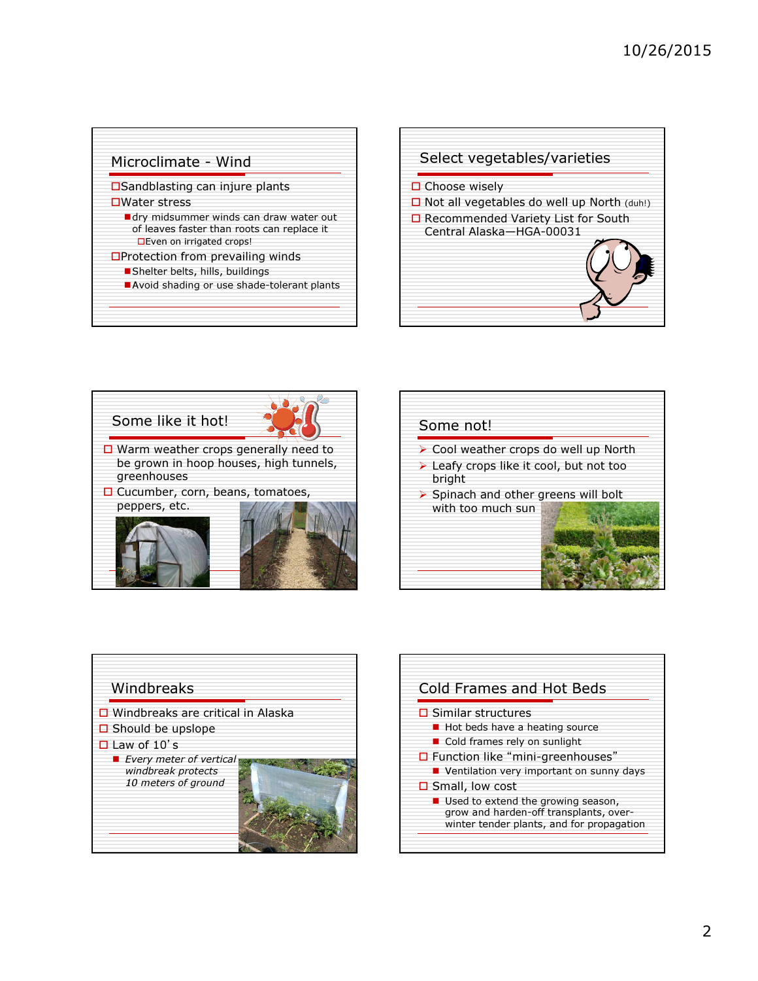## Microclimate - Wind

**OSandblasting can injure plants □Water stress** 

- **dry midsummer winds can draw water out** of leaves faster than roots can replace it **Even on irrigated crops!**
- **OProtection from prevailing winds** 
	- Shelter belts, hills, buildings
	- Avoid shading or use shade-tolerant plants









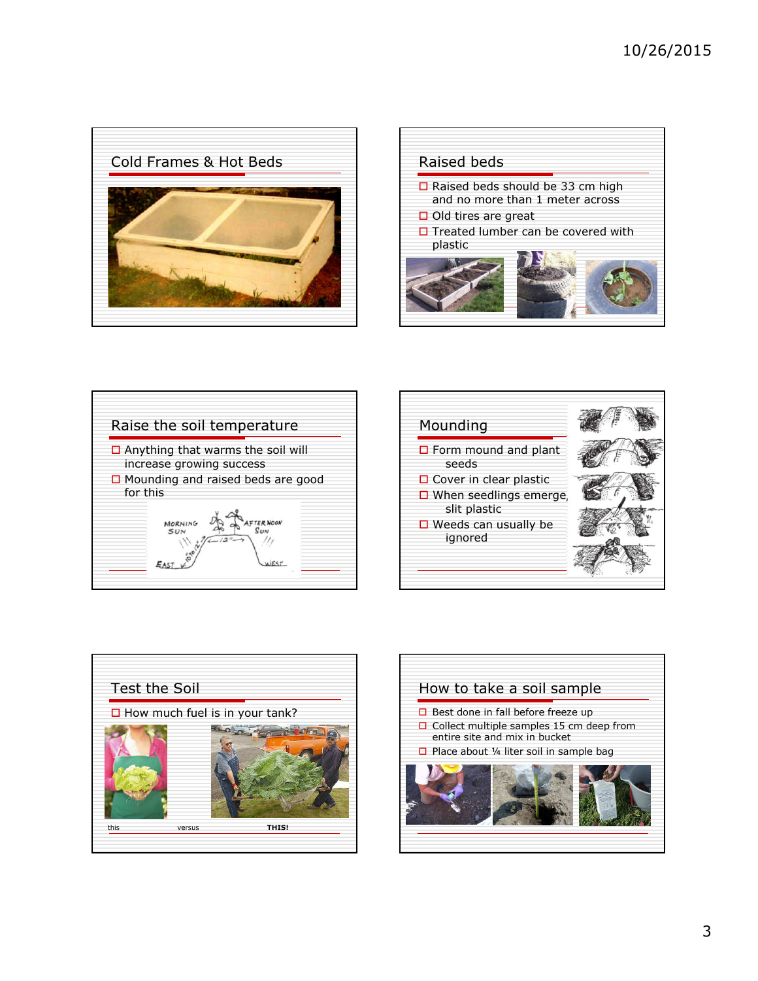









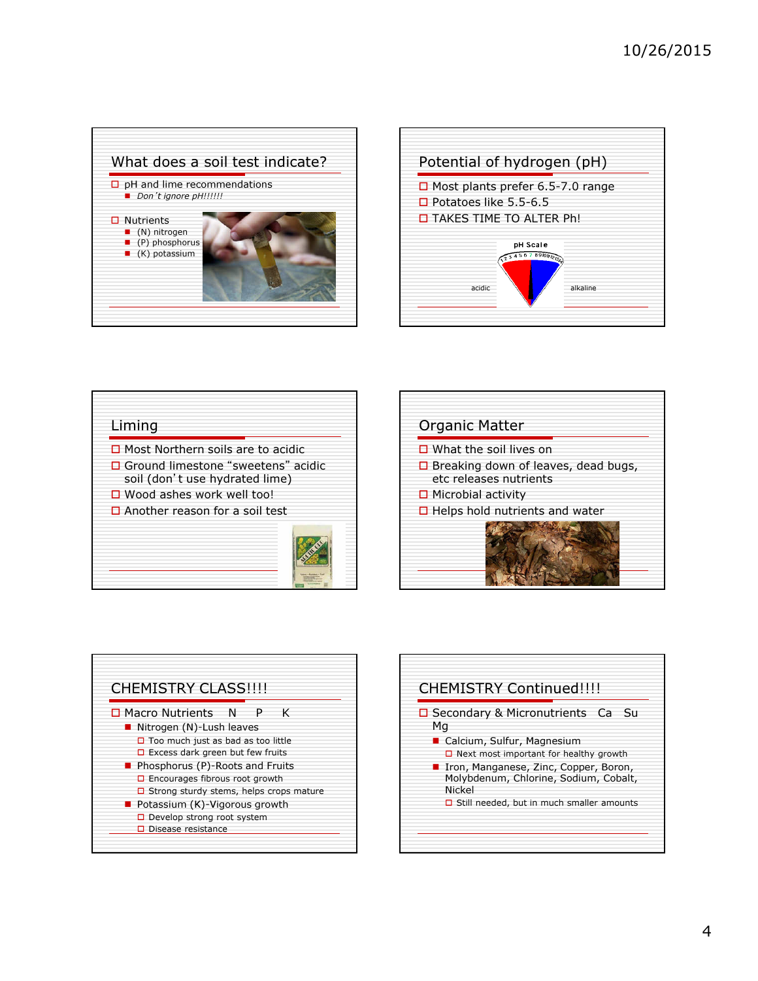









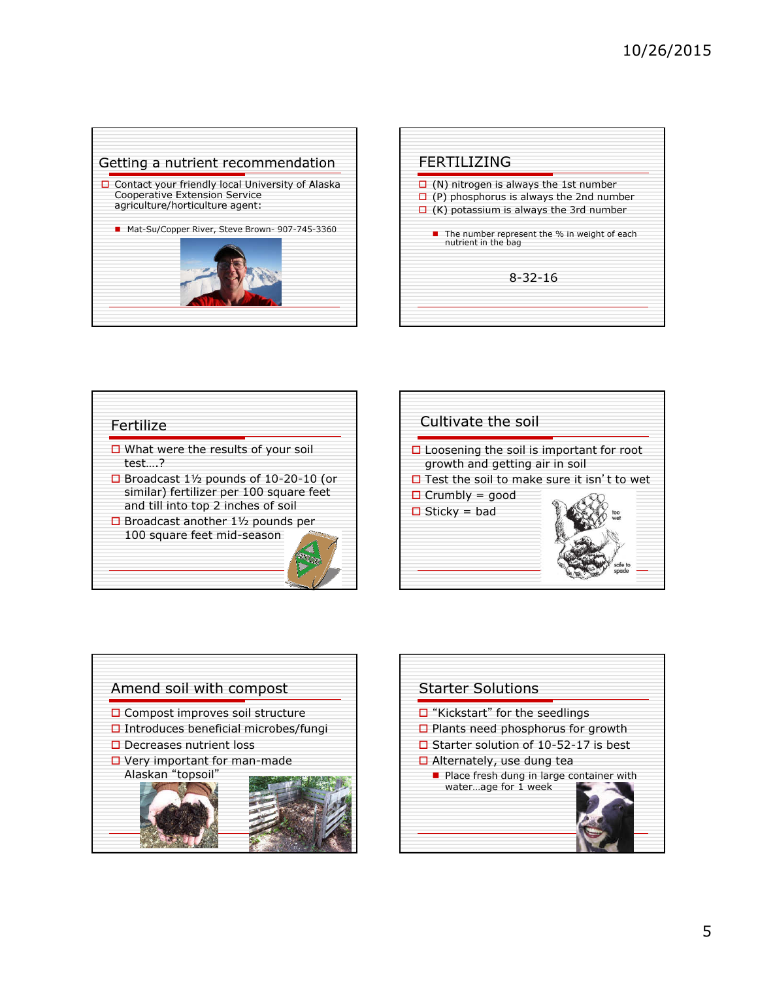









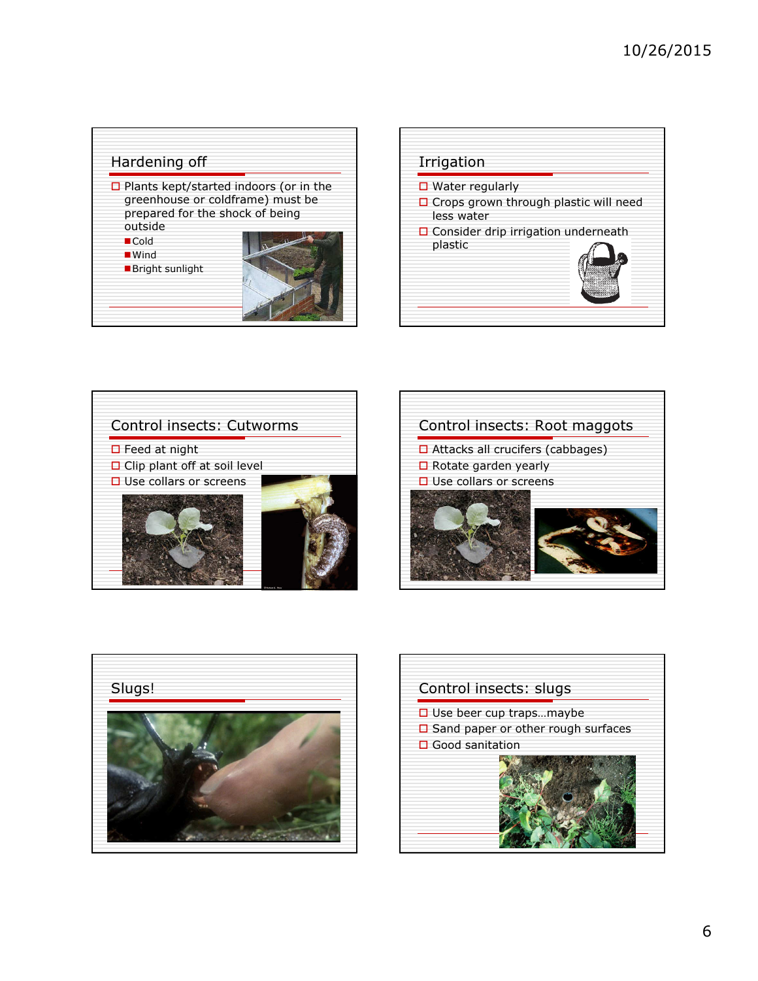